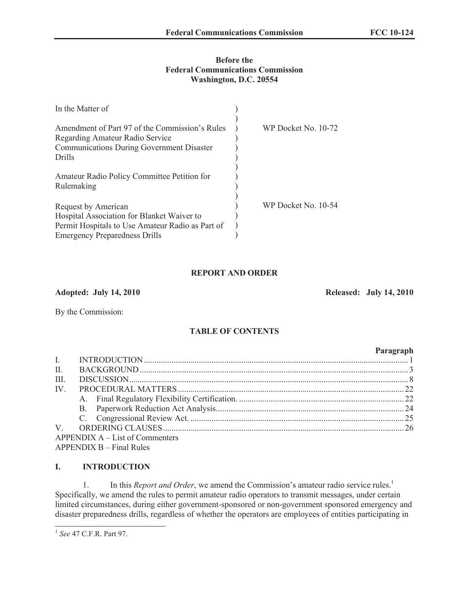#### **Before the Federal Communications Commission Washington, D.C. 20554**

| In the Matter of                                                                                                                                              |                     |
|---------------------------------------------------------------------------------------------------------------------------------------------------------------|---------------------|
| Amendment of Part 97 of the Commission's Rules<br>Regarding Amateur Radio Service<br><b>Communications During Government Disaster</b><br>Drills               | WP Docket No. 10-72 |
| Amateur Radio Policy Committee Petition for<br>Rulemaking                                                                                                     |                     |
| Request by American<br>Hospital Association for Blanket Waiver to<br>Permit Hospitals to Use Amateur Radio as Part of<br><b>Emergency Preparedness Drills</b> | WP Docket No. 10-54 |

## **REPORT AND ORDER**

**Adopted: July 14, 2010 Released: July 14, 2010**

By the Commission:

# **TABLE OF CONTENTS**

## **Paragraph** I. INTRODUCTION............................................................................................................................. 1 II. BACKGROUND............................................................................................................................... 3 III. DISCUSSION.................................................................................................................................... 8 IV. PROCEDURAL MATTERS........................................................................................................... 22 A. Final Regulatory Flexibility Certification. .............................................................................. 22 B. Paperwork Reduction Act Analysis......................................................................................... 24 C. Congressional Review Act. ..................................................................................................... 25 V. ORDERING CLAUSES.................................................................................................................. 26 APPENDIX A – List of Commenters APPENDIX B – Final Rules

## **I. INTRODUCTION**

1. In this *Report and Order*, we amend the Commission's amateur radio service rules.<sup>1</sup> Specifically, we amend the rules to permit amateur radio operators to transmit messages, under certain limited circumstances, during either government-sponsored or non-government sponsored emergency and disaster preparedness drills, regardless of whether the operators are employees of entities participating in

<sup>1</sup> *See* 47 C.F.R. Part 97.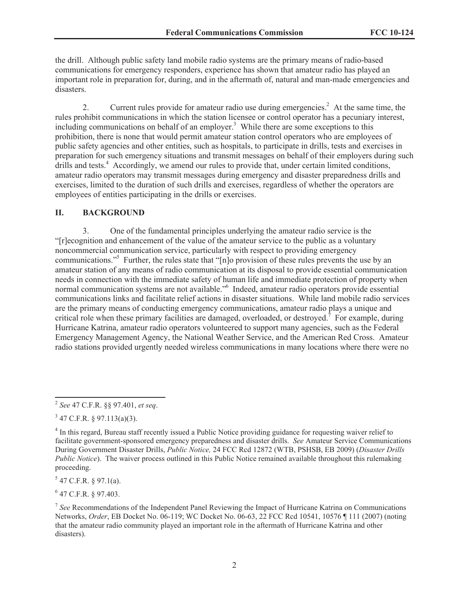the drill. Although public safety land mobile radio systems are the primary means of radio-based communications for emergency responders, experience has shown that amateur radio has played an important role in preparation for, during, and in the aftermath of, natural and man-made emergencies and disasters.

2. Current rules provide for amateur radio use during emergencies.<sup>2</sup> At the same time, the rules prohibit communications in which the station licensee or control operator has a pecuniary interest, including communications on behalf of an employer.<sup>3</sup> While there are some exceptions to this prohibition, there is none that would permit amateur station control operators who are employees of public safety agencies and other entities, such as hospitals, to participate in drills, tests and exercises in preparation for such emergency situations and transmit messages on behalf of their employers during such drills and tests.<sup>4</sup> Accordingly, we amend our rules to provide that, under certain limited conditions, amateur radio operators may transmit messages during emergency and disaster preparedness drills and exercises, limited to the duration of such drills and exercises, regardless of whether the operators are employees of entities participating in the drills or exercises.

#### **II. BACKGROUND**

3. One of the fundamental principles underlying the amateur radio service is the "[r]ecognition and enhancement of the value of the amateur service to the public as a voluntary noncommercial communication service, particularly with respect to providing emergency communications."<sup>5</sup> Further, the rules state that "[n]o provision of these rules prevents the use by an amateur station of any means of radio communication at its disposal to provide essential communication needs in connection with the immediate safety of human life and immediate protection of property when normal communication systems are not available."<sup>6</sup> Indeed, amateur radio operators provide essential communications links and facilitate relief actions in disaster situations. While land mobile radio services are the primary means of conducting emergency communications, amateur radio plays a unique and critical role when these primary facilities are damaged, overloaded, or destroyed.<sup>7</sup> For example, during Hurricane Katrina, amateur radio operators volunteered to support many agencies, such as the Federal Emergency Management Agency, the National Weather Service, and the American Red Cross. Amateur radio stations provided urgently needed wireless communications in many locations where there were no

 $5$  47 C.F.R. § 97.1(a).

6 47 C.F.R. § 97.403.

<sup>2</sup> *See* 47 C.F.R. §§ 97.401, *et seq*.

 $3$  47 C.F.R. § 97.113(a)(3).

<sup>&</sup>lt;sup>4</sup> In this regard, Bureau staff recently issued a Public Notice providing guidance for requesting waiver relief to facilitate government-sponsored emergency preparedness and disaster drills. *See* Amateur Service Communications During Government Disaster Drills, *Public Notice,* 24 FCC Rcd 12872 (WTB, PSHSB, EB 2009) (*Disaster Drills Public Notice*). The waiver process outlined in this Public Notice remained available throughout this rulemaking proceeding.

<sup>&</sup>lt;sup>7</sup> See Recommendations of the Independent Panel Reviewing the Impact of Hurricane Katrina on Communications Networks, *Order*, EB Docket No. 06-119; WC Docket No. 06-63, 22 FCC Rcd 10541, 10576 ¶ 111 (2007) (noting that the amateur radio community played an important role in the aftermath of Hurricane Katrina and other disasters).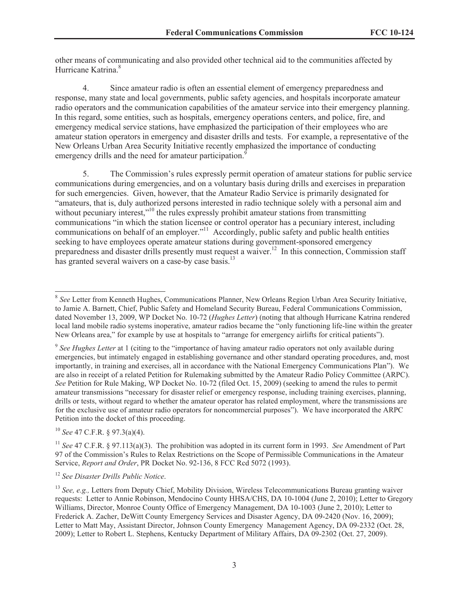other means of communicating and also provided other technical aid to the communities affected by Hurricane Katrina<sup>8</sup>

4. Since amateur radio is often an essential element of emergency preparedness and response, many state and local governments, public safety agencies, and hospitals incorporate amateur radio operators and the communication capabilities of the amateur service into their emergency planning. In this regard, some entities, such as hospitals, emergency operations centers, and police, fire, and emergency medical service stations, have emphasized the participation of their employees who are amateur station operators in emergency and disaster drills and tests. For example, a representative of the New Orleans Urban Area Security Initiative recently emphasized the importance of conducting emergency drills and the need for amateur participation.<sup>9</sup>

5. The Commission's rules expressly permit operation of amateur stations for public service communications during emergencies, and on a voluntary basis during drills and exercises in preparation for such emergencies. Given, however, that the Amateur Radio Service is primarily designated for "amateurs, that is, duly authorized persons interested in radio technique solely with a personal aim and without pecuniary interest,"<sup>10</sup> the rules expressly prohibit amateur stations from transmitting communications "in which the station licensee or control operator has a pecuniary interest, including communications on behalf of an employer."<sup>11</sup> Accordingly, public safety and public health entities seeking to have employees operate amateur stations during government-sponsored emergency preparedness and disaster drills presently must request a waiver.<sup>12</sup> In this connection, Commission staff has granted several waivers on a case-by case basis.<sup>13</sup>

<sup>10</sup> *See* 47 C.F.R. § 97.3(a)(4).

<sup>11</sup> *See* 47 C.F.R. § 97.113(a)(3). The prohibition was adopted in its current form in 1993. *See* Amendment of Part 97 of the Commission's Rules to Relax Restrictions on the Scope of Permissible Communications in the Amateur Service, *Report and Order*, PR Docket No. 92-136, 8 FCC Rcd 5072 (1993).

<sup>12</sup> *See Disaster Drills Public Notice*.

<sup>&</sup>lt;sup>8</sup> See Letter from Kenneth Hughes, Communications Planner, New Orleans Region Urban Area Security Initiative, to Jamie A. Barnett, Chief, Public Safety and Homeland Security Bureau, Federal Communications Commission, dated November 13, 2009, WP Docket No. 10-72 (*Hughes Letter*) (noting that although Hurricane Katrina rendered local land mobile radio systems inoperative, amateur radios became the "only functioning life-line within the greater New Orleans area," for example by use at hospitals to "arrange for emergency airlifts for critical patients").

<sup>9</sup> *See Hughes Letter* at 1 (citing to the "importance of having amateur radio operators not only available during emergencies, but intimately engaged in establishing governance and other standard operating procedures, and, most importantly, in training and exercises, all in accordance with the National Emergency Communications Plan"). We are also in receipt of a related Petition for Rulemaking submitted by the Amateur Radio Policy Committee (ARPC). *See* Petition for Rule Making, WP Docket No. 10-72 (filed Oct. 15, 2009) (seeking to amend the rules to permit amateur transmissions "necessary for disaster relief or emergency response, including training exercises, planning, drills or tests, without regard to whether the amateur operator has related employment, where the transmissions are for the exclusive use of amateur radio operators for noncommercial purposes"). We have incorporated the ARPC Petition into the docket of this proceeding.

<sup>&</sup>lt;sup>13</sup> *See, e.g.*, Letters from Deputy Chief, Mobility Division, Wireless Telecommunications Bureau granting waiver requests: Letter to Annie Robinson, Mendocino County HHSA/CHS, DA 10-1004 (June 2, 2010); Letter to Gregory Williams, Director, Monroe County Office of Emergency Management, DA 10-1003 (June 2, 2010); Letter to Frederick A. Zacher, DeWitt County Emergency Services and Disaster Agency, DA 09-2420 (Nov. 16, 2009); Letter to Matt May, Assistant Director, Johnson County Emergency Management Agency, DA 09-2332 (Oct. 28, 2009); Letter to Robert L. Stephens, Kentucky Department of Military Affairs, DA 09-2302 (Oct. 27, 2009).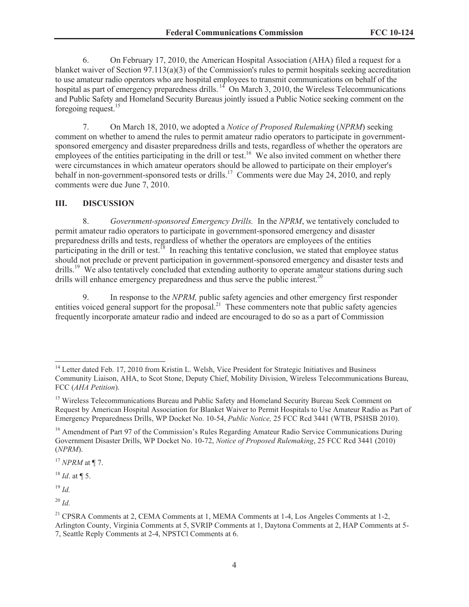6. On February 17, 2010, the American Hospital Association (AHA) filed a request for a blanket waiver of Section 97.113(a)(3) of the Commission's rules to permit hospitals seeking accreditation to use amateur radio operators who are hospital employees to transmit communications on behalf of the hospital as part of emergency preparedness drills.<sup>14</sup> On March 3, 2010, the Wireless Telecommunications and Public Safety and Homeland Security Bureaus jointly issued a Public Notice seeking comment on the foregoing request.<sup>15</sup>

7. On March 18, 2010, we adopted a *Notice of Proposed Rulemaking* (*NPRM*) seeking comment on whether to amend the rules to permit amateur radio operators to participate in governmentsponsored emergency and disaster preparedness drills and tests, regardless of whether the operators are employees of the entities participating in the drill or test.<sup>16</sup> We also invited comment on whether there were circumstances in which amateur operators should be allowed to participate on their employer's behalf in non-government-sponsored tests or drills.<sup>17</sup> Comments were due May 24, 2010, and reply comments were due June 7, 2010.

## **III. DISCUSSION**

8. *Government-sponsored Emergency Drills.* In the *NPRM*, we tentatively concluded to permit amateur radio operators to participate in government-sponsored emergency and disaster preparedness drills and tests, regardless of whether the operators are employees of the entities participating in the drill or test.<sup>18</sup> In reaching this tentative conclusion, we stated that employee status should not preclude or prevent participation in government-sponsored emergency and disaster tests and drills.<sup>19</sup> We also tentatively concluded that extending authority to operate amateur stations during such drills will enhance emergency preparedness and thus serve the public interest.<sup>20</sup>

9. In response to the *NPRM,* public safety agencies and other emergency first responder entities voiced general support for the proposal.<sup>21</sup> These commenters note that public safety agencies frequently incorporate amateur radio and indeed are encouraged to do so as a part of Commission

<sup>19</sup> *Id.*

<sup>&</sup>lt;sup>14</sup> Letter dated Feb. 17, 2010 from Kristin L. Welsh, Vice President for Strategic Initiatives and Business Community Liaison, AHA, to Scot Stone, Deputy Chief, Mobility Division, Wireless Telecommunications Bureau, FCC (*AHA Petition*).

<sup>&</sup>lt;sup>15</sup> Wireless Telecommunications Bureau and Public Safety and Homeland Security Bureau Seek Comment on Request by American Hospital Association for Blanket Waiver to Permit Hospitals to Use Amateur Radio as Part of Emergency Preparedness Drills, WP Docket No. 10-54, *Public Notice,* 25 FCC Rcd 3441 (WTB, PSHSB 2010).

<sup>&</sup>lt;sup>16</sup> Amendment of Part 97 of the Commission's Rules Regarding Amateur Radio Service Communications During Government Disaster Drills, WP Docket No. 10-72, *Notice of Proposed Rulemaking*, 25 FCC Rcd 3441 (2010) (*NPRM*).

<sup>17</sup> *NPRM* at ¶ 7.

 $^{18}$  *Id.* at ¶ 5.

<sup>20</sup> *Id.*

<sup>&</sup>lt;sup>21</sup> CPSRA Comments at 2, CEMA Comments at 1, MEMA Comments at  $1-4$ , Los Angeles Comments at  $1-2$ , Arlington County, Virginia Comments at 5, SVRIP Comments at 1, Daytona Comments at 2, HAP Comments at 5- 7, Seattle Reply Comments at 2-4, NPSTCl Comments at 6.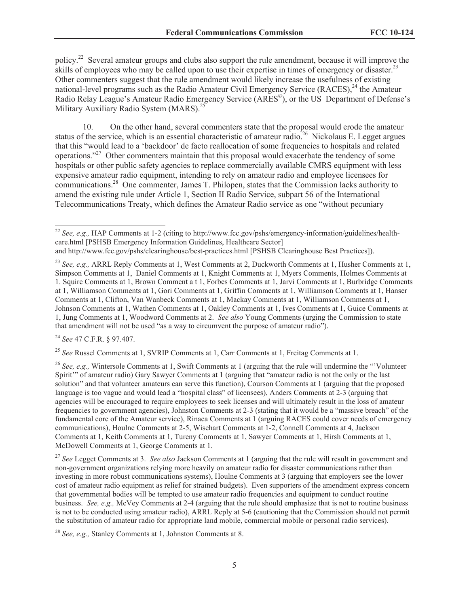policy.<sup>22</sup> Several amateur groups and clubs also support the rule amendment, because it will improve the skills of employees who may be called upon to use their expertise in times of emergency or disaster.<sup>23</sup> Other commenters suggest that the rule amendment would likely increase the usefulness of existing national-level programs such as the Radio Amateur Civil Emergency Service  $(RACES)^{24}$  the Amateur Radio Relay League's Amateur Radio Emergency Service (ARES<sup>©</sup>), or the US Department of Defense's Military Auxiliary Radio System (MARS).<sup>25</sup>

10. On the other hand, several commenters state that the proposal would erode the amateur status of the service, which is an essential characteristic of amateur radio.<sup>26</sup> Nickolaus E. Legget argues that this "would lead to a 'backdoor' de facto reallocation of some frequencies to hospitals and related operations."<sup>27</sup> Other commenters maintain that this proposal would exacerbate the tendency of some hospitals or other public safety agencies to replace commercially available CMRS equipment with less expensive amateur radio equipment, intending to rely on amateur radio and employee licensees for communications.<sup>28</sup> One commenter, James T. Philopen, states that the Commission lacks authority to amend the existing rule under Article 1, Section II Radio Service, subpart 56 of the International Telecommunications Treaty, which defines the Amateur Radio service as one "without pecuniary

<sup>24</sup> *See* 47 C.F.R. § 97.407.

<sup>25</sup> *See* Russel Comments at 1, SVRIP Comments at 1, Carr Comments at 1, Freitag Comments at 1.

<sup>26</sup> *See, e.g.,* Wintersole Comments at 1, Swift Comments at 1 (arguing that the rule will undermine the "'Volunteer Spirit'" of amateur radio) Gary Sawyer Comments at 1 (arguing that "amateur radio is not the only or the last solution" and that volunteer amateurs can serve this function), Courson Comments at 1 (arguing that the proposed language is too vague and would lead a "hospital class" of licensees), Anders Comments at 2-3 (arguing that agencies will be encouraged to require employees to seek licenses and will ultimately result in the loss of amateur frequencies to government agencies), Johnston Comments at 2-3 (stating that it would be a "massive breach" of the fundamental core of the Amateur service), Rinaca Comments at 1 (arguing RACES could cover needs of emergency communications), Houlne Comments at 2-5, Wisehart Comments at 1-2, Connell Comments at 4, Jackson Comments at 1, Keith Comments at 1, Tureny Comments at 1, Sawyer Comments at 1, Hirsh Comments at 1, McDowell Comments at 1, George Comments at 1.

<sup>27</sup> *See* Legget Comments at 3. *See also* Jackson Comments at 1 (arguing that the rule will result in government and non-government organizations relying more heavily on amateur radio for disaster communications rather than investing in more robust communications systems), Houlne Comments at 3 (arguing that employers see the lower cost of amateur radio equipment as relief for strained budgets). Even supporters of the amendment express concern that governmental bodies will be tempted to use amateur radio frequencies and equipment to conduct routine business. *See, e.g.,* McVey Comments at 2-4 (arguing that the rule should emphasize that is not to routine business is not to be conducted using amateur radio), ARRL Reply at 5-6 (cautioning that the Commission should not permit the substitution of amateur radio for appropriate land mobile, commercial mobile or personal radio services).

<sup>28</sup> *See, e.g.,* Stanley Comments at 1, Johnston Comments at 8.

<sup>&</sup>lt;sup>22</sup> *See, e.g., HAP Comments at 1-2 (citing to http://www.fcc.gov/pshs/emergency-information/guidelines/health*care.html [PSHSB Emergency Information Guidelines, Healthcare Sector]

and http://www.fcc.gov/pshs/clearinghouse/best-practices.html [PSHSB Clearinghouse Best Practices]).

<sup>&</sup>lt;sup>23</sup> *See, e.g., ARRL Reply Comments at 1, West Comments at 2, Duckworth Comments at 1, Husher Comments at 1,* Simpson Comments at 1, Daniel Comments at 1, Knight Comments at 1, Myers Comments, Holmes Comments at 1. Squire Comments at 1, Brown Comment a t 1, Forbes Comments at 1, Jarvi Comments at 1, Burbridge Comments at 1, Williamson Comments at 1, Gori Comments at 1, Griffin Comments at 1, Williamson Comments at 1, Hanser Comments at 1, Clifton, Van Wanbeck Comments at 1, Mackay Comments at 1, Williamson Comments at 1, Johnson Comments at 1, Wathen Comments at 1, Oakley Comments at 1, Ives Comments at 1, Guice Comments at 1, Jung Comments at 1, Woodword Comments at 2. *See also* Young Comments (urging the Commission to state that amendment will not be used "as a way to circumvent the purpose of amateur radio").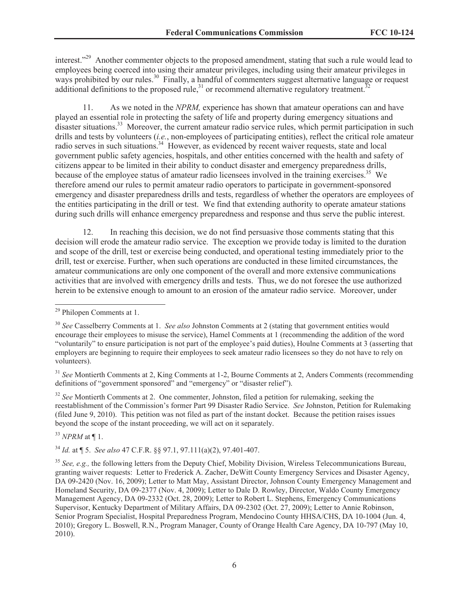interest."<sup>29</sup> Another commenter objects to the proposed amendment, stating that such a rule would lead to employees being coerced into using their amateur privileges, including using their amateur privileges in ways prohibited by our rules.<sup>30</sup> Finally, a handful of commenters suggest alternative language or request additional definitions to the proposed rule, $31$  or recommend alternative regulatory treatment.<sup>3</sup>

11. As we noted in the *NPRM,* experience has shown that amateur operations can and have played an essential role in protecting the safety of life and property during emergency situations and disaster situations.<sup>33</sup> Moreover, the current amateur radio service rules, which permit participation in such drills and tests by volunteers (*i.e.*, non-employees of participating entities), reflect the critical role amateur radio serves in such situations.<sup>34</sup> However, as evidenced by recent waiver requests, state and local government public safety agencies, hospitals, and other entities concerned with the health and safety of citizens appear to be limited in their ability to conduct disaster and emergency preparedness drills, because of the employee status of amateur radio licensees involved in the training exercises.<sup>35</sup> We therefore amend our rules to permit amateur radio operators to participate in government-sponsored emergency and disaster preparedness drills and tests, regardless of whether the operators are employees of the entities participating in the drill or test. We find that extending authority to operate amateur stations during such drills will enhance emergency preparedness and response and thus serve the public interest.

12. In reaching this decision, we do not find persuasive those comments stating that this decision will erode the amateur radio service. The exception we provide today is limited to the duration and scope of the drill, test or exercise being conducted, and operational testing immediately prior to the drill, test or exercise. Further, when such operations are conducted in these limited circumstances, the amateur communications are only one component of the overall and more extensive communications activities that are involved with emergency drills and tests. Thus, we do not foresee the use authorized herein to be extensive enough to amount to an erosion of the amateur radio service. Moreover, under

<sup>31</sup> *See* Montierth Comments at 2, King Comments at 1-2, Bourne Comments at 2, Anders Comments (recommending definitions of "government sponsored" and "emergency" or "disaster relief").

<sup>32</sup> See Montierth Comments at 2. One commenter, Johnston, filed a petition for rulemaking, seeking the reestablishment of the Commission's former Part 99 Disaster Radio Service. *See* Johnston, Petition for Rulemaking (filed June 9, 2010). This petition was not filed as part of the instant docket. Because the petition raises issues beyond the scope of the instant proceeding, we will act on it separately.

<sup>33</sup> *NPRM* at ¶ 1.

<sup>34</sup> *Id.* at ¶ 5. *See also* 47 C.F.R. §§ 97.1, 97.111(a)(2), 97.401-407.

<sup>29</sup> Philopen Comments at 1.

<sup>30</sup> *See* Casselberry Comments at 1. *See also* Johnston Comments at 2 (stating that government entities would encourage their employees to misuse the service), Hamel Comments at 1 (recommending the addition of the word "voluntarily" to ensure participation is not part of the employee's paid duties), Houlne Comments at 3 (asserting that employers are beginning to require their employees to seek amateur radio licensees so they do not have to rely on volunteers).

<sup>&</sup>lt;sup>35</sup> *See, e.g., the following letters from the Deputy Chief, Mobility Division, Wireless Telecommunications Bureau,* granting waiver requests: Letter to Frederick A. Zacher, DeWitt County Emergency Services and Disaster Agency, DA 09-2420 (Nov. 16, 2009); Letter to Matt May, Assistant Director, Johnson County Emergency Management and Homeland Security, DA 09-2377 (Nov. 4, 2009); Letter to Dale D. Rowley, Director, Waldo County Emergency Management Agency, DA 09-2332 (Oct. 28, 2009); Letter to Robert L. Stephens, Emergency Communications Supervisor, Kentucky Department of Military Affairs, DA 09-2302 (Oct. 27, 2009); Letter to Annie Robinson, Senior Program Specialist, Hospital Preparedness Program, Mendocino County HHSA/CHS, DA 10-1004 (Jun. 4, 2010); Gregory L. Boswell, R.N., Program Manager, County of Orange Health Care Agency, DA 10-797 (May 10, 2010).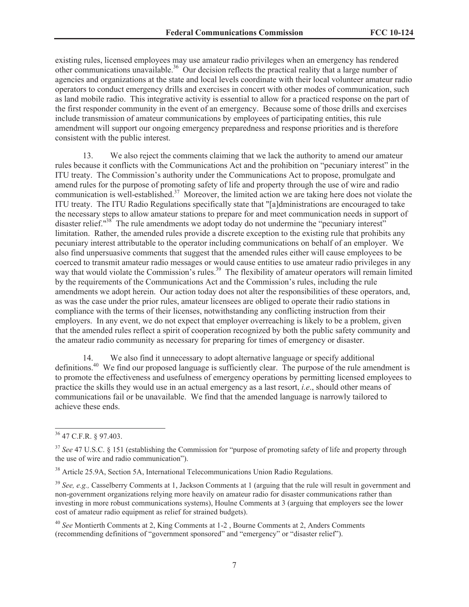existing rules, licensed employees may use amateur radio privileges when an emergency has rendered other communications unavailable.<sup>36</sup> Our decision reflects the practical reality that a large number of agencies and organizations at the state and local levels coordinate with their local volunteer amateur radio operators to conduct emergency drills and exercises in concert with other modes of communication, such as land mobile radio. This integrative activity is essential to allow for a practiced response on the part of the first responder community in the event of an emergency. Because some of those drills and exercises include transmission of amateur communications by employees of participating entities, this rule amendment will support our ongoing emergency preparedness and response priorities and is therefore consistent with the public interest.

13. We also reject the comments claiming that we lack the authority to amend our amateur rules because it conflicts with the Communications Act and the prohibition on "pecuniary interest" in the ITU treaty. The Commission's authority under the Communications Act to propose, promulgate and amend rules for the purpose of promoting safety of life and property through the use of wire and radio communication is well-established.<sup>37</sup> Moreover, the limited action we are taking here does not violate the ITU treaty. The ITU Radio Regulations specifically state that "[a]dministrations are encouraged to take the necessary steps to allow amateur stations to prepare for and meet communication needs in support of disaster relief."<sup>38</sup> The rule amendments we adopt today do not undermine the "pecuniary interest" limitation. Rather, the amended rules provide a discrete exception to the existing rule that prohibits any pecuniary interest attributable to the operator including communications on behalf of an employer. We also find unpersuasive comments that suggest that the amended rules either will cause employees to be coerced to transmit amateur radio messages or would cause entities to use amateur radio privileges in any way that would violate the Commission's rules.<sup>39</sup> The flexibility of amateur operators will remain limited way by the requirements of the Communications Act and the Commission's rules, including the rule amendments we adopt herein. Our action today does not alter the responsibilities of these operators, and, as was the case under the prior rules, amateur licensees are obliged to operate their radio stations in compliance with the terms of their licenses, notwithstanding any conflicting instruction from their employers. In any event, we do not expect that employer overreaching is likely to be a problem, given that the amended rules reflect a spirit of cooperation recognized by both the public safety community and the amateur radio community as necessary for preparing for times of emergency or disaster.

14. We also find it unnecessary to adopt alternative language or specify additional definitions.<sup>40</sup> We find our proposed language is sufficiently clear. The purpose of the rule amendment is to promote the effectiveness and usefulness of emergency operations by permitting licensed employees to practice the skills they would use in an actual emergency as a last resort, *i.e*., should other means of communications fail or be unavailable. We find that the amended language is narrowly tailored to achieve these ends.

<sup>36</sup> 47 C.F.R. § 97.403.

<sup>&</sup>lt;sup>37</sup> See 47 U.S.C. § 151 (establishing the Commission for "purpose of promoting safety of life and property through the use of wire and radio communication").

<sup>&</sup>lt;sup>38</sup> Article 25.9A, Section 5A, International Telecommunications Union Radio Regulations.

<sup>39</sup> *See, e.g.,* Casselberry Comments at 1, Jackson Comments at 1 (arguing that the rule will result in government and non-government organizations relying more heavily on amateur radio for disaster communications rather than investing in more robust communications systems), Houlne Comments at 3 (arguing that employers see the lower cost of amateur radio equipment as relief for strained budgets).

<sup>40</sup> *See* Montierth Comments at 2, King Comments at 1-2 , Bourne Comments at 2, Anders Comments (recommending definitions of "government sponsored" and "emergency" or "disaster relief").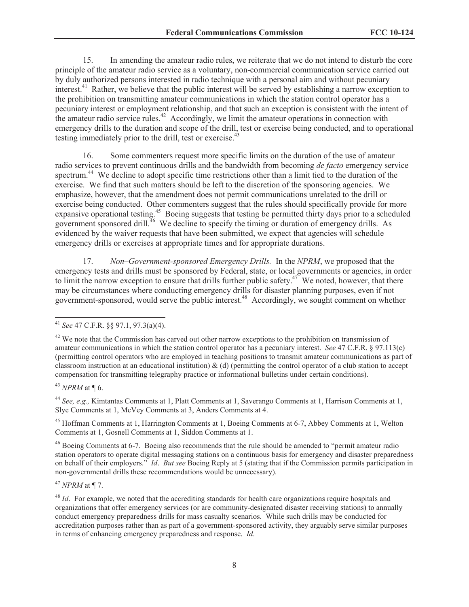15. In amending the amateur radio rules, we reiterate that we do not intend to disturb the core principle of the amateur radio service as a voluntary, non-commercial communication service carried out by duly authorized persons interested in radio technique with a personal aim and without pecuniary interest.<sup>41</sup> Rather, we believe that the public interest will be served by establishing a narrow exception to the prohibition on transmitting amateur communications in which the station control operator has a pecuniary interest or employment relationship, and that such an exception is consistent with the intent of the amateur radio service rules.<sup>42</sup> Accordingly, we limit the amateur operations in connection with emergency drills to the duration and scope of the drill, test or exercise being conducted, and to operational testing immediately prior to the drill, test or exercise.<sup>43</sup>

16. Some commenters request more specific limits on the duration of the use of amateur radio services to prevent continuous drills and the bandwidth from becoming *de facto* emergency service spectrum.<sup>44</sup> We decline to adopt specific time restrictions other than a limit tied to the duration of the exercise. We find that such matters should be left to the discretion of the sponsoring agencies. We emphasize, however, that the amendment does not permit communications unrelated to the drill or exercise being conducted. Other commenters suggest that the rules should specifically provide for more expansive operational testing.<sup>45</sup> Boeing suggests that testing be permitted thirty days prior to a scheduled government sponsored drill.<sup>46</sup> We decline to specify the timing or duration of emergency drills. As evidenced by the waiver requests that have been submitted, we expect that agencies will schedule emergency drills or exercises at appropriate times and for appropriate durations.

17. *Non–Government-sponsored Emergency Drills.* In the *NPRM*, we proposed that the emergency tests and drills must be sponsored by Federal, state, or local governments or agencies, in order to limit the narrow exception to ensure that drills further public safety.<sup>47</sup> We noted, however, that there may be circumstances where conducting emergency drills for disaster planning purposes, even if not government-sponsored, would serve the public interest.<sup>48</sup> Accordingly, we sought comment on whether

<sup>43</sup> *NPRM* at ¶ 6.

<sup>44</sup> *See, e.g.,* Kimtantas Comments at 1, Platt Comments at 1, Saverango Comments at 1, Harrison Comments at 1, Slye Comments at 1, McVey Comments at 3, Anders Comments at 4.

<sup>45</sup> Hoffman Comments at 1, Harrington Comments at 1, Boeing Comments at 6-7, Abbey Comments at 1, Welton Comments at 1, Gosnell Comments at 1, Siddon Comments at 1.

<sup>46</sup> Boeing Comments at 6-7. Boeing also recommends that the rule should be amended to "permit amateur radio station operators to operate digital messaging stations on a continuous basis for emergency and disaster preparedness on behalf of their employers." *Id*. *But see* Boeing Reply at 5 (stating that if the Commission permits participation in non-governmental drills these recommendations would be unnecessary).

<sup>47</sup> *NPRM* at ¶ 7.

<sup>41</sup> *See* 47 C.F.R. §§ 97.1, 97.3(a)(4).

 $42$  We note that the Commission has carved out other narrow exceptions to the prohibition on transmission of amateur communications in which the station control operator has a pecuniary interest. *See* 47 C.F.R. § 97.113(c) (permitting control operators who are employed in teaching positions to transmit amateur communications as part of classroom instruction at an educational institution)  $\&$  (d) (permitting the control operator of a club station to accept compensation for transmitting telegraphy practice or informational bulletins under certain conditions).

<sup>&</sup>lt;sup>48</sup> *Id*. For example, we noted that the accrediting standards for health care organizations require hospitals and organizations that offer emergency services (or are community-designated disaster receiving stations) to annually conduct emergency preparedness drills for mass casualty scenarios. While such drills may be conducted for accreditation purposes rather than as part of a government-sponsored activity, they arguably serve similar purposes in terms of enhancing emergency preparedness and response. *Id*.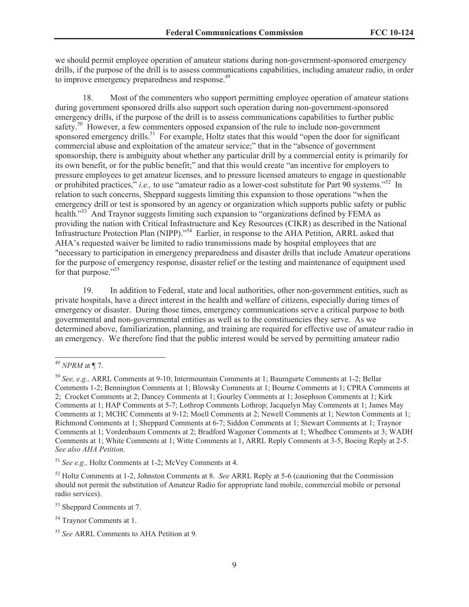we should permit employee operation of amateur stations during non-government-sponsored emergency drills, if the purpose of the drill is to assess communications capabilities, including amateur radio, in order to improve emergency preparedness and response.<sup>49</sup>

18. Most of the commenters who support permitting employee operation of amateur stations during government sponsored drills also support such operation during non-government-sponsored emergency drills, if the purpose of the drill is to assess communications capabilities to further public safety.<sup>50</sup> However, a few commenters opposed expansion of the rule to include non-government sponsored emergency drills.<sup>51</sup> For example, Holtz states that this would "open the door for significant commercial abuse and exploitation of the amateur service;" that in the "absence of government sponsorship, there is ambiguity about whether any particular drill by a commercial entity is primarily for its own benefit, or for the public benefit;" and that this would create "an incentive for employers to pressure employees to get amateur licenses, and to pressure licensed amateurs to engage in questionable or prohibited practices," *i.e.,* to use "amateur radio as a lower-cost substitute for Part 90 systems."<sup>52</sup> In relation to such concerns, Sheppard suggests limiting this expansion to those operations "when the emergency drill or test is sponsored by an agency or organization which supports public safety or public health."<sup>53</sup> And Traynor suggests limiting such expansion to "organizations defined by FEMA as providing the nation with Critical Infrastructure and Key Resources (CIKR) as described in the National Infrastructure Protection Plan (NIPP)."<sup>54</sup> Earlier, in response to the AHA Petition, ARRL asked that AHA's requested waiver be limited to radio transmissions made by hospital employees that are "necessary to participation in emergency preparedness and disaster drills that include Amateur operations for the purpose of emergency response, disaster relief or the testing and maintenance of equipment used for that purpose."<sup>55</sup>

19. In addition to Federal, state and local authorities, other non-government entities, such as private hospitals, have a direct interest in the health and welfare of citizens, especially during times of emergency or disaster. During those times, emergency communications serve a critical purpose to both governmental and non-governmental entities as well as to the constituencies they serve. As we determined above, familiarization, planning, and training are required for effective use of amateur radio in an emergency. We therefore find that the public interest would be served by permitting amateur radio

<sup>49</sup> *NPRM* at ¶ 7.

<sup>50</sup> *See, e.g.,* ARRL Comments at 9-10; Intermountain Comments at 1; Baumgurte Comments at 1-2; Bellar Comments 1-2; Bennington Comments at 1; Blowsky Comments at 1; Bourne Comments at 1; CPRA Comments at 2; Crocket Comments at 2; Dancey Comments at 1; Gourley Comments at 1; Josephson Comments at 1; Kirk Comments at 1; HAP Comments at 5-7; Lothrop Comments Lothrop; Jacquelyn May Comments at 1; James May Comments at 1; MCHC Comments at 9-12; Moell Comments at 2; Newell Comments at 1; Newton Comments at 1; Richmond Comments at 1; Sheppard Comments at 6-7; Siddon Comments at 1; Stewart Comments at 1; Traynor Comments at 1; Vordenbaum Comments at 2; Bradford Wagoner Comments at 1; Whedbee Comments at 3; WADH Comments at 1; White Comments at 1; Witte Comments at 1, ARRL Reply Comments at 3-5, Boeing Reply at 2-5. *See also AHA Petition.*

<sup>51</sup> *See e.g.,* Holtz Comments at 1-2; McVey Comments at 4.

<sup>52</sup> Holtz Comments at 1-2, Johnston Comments at 8. *See* ARRL Reply at 5-6 (cautioning that the Commission should not permit the substitution of Amateur Radio for appropriate land mobile, commercial mobile or personal radio services).

<sup>53</sup> Sheppard Comments at 7.

<sup>54</sup> Traynor Comments at 1.

<sup>55</sup> *See* ARRL Comments to AHA Petition at 9.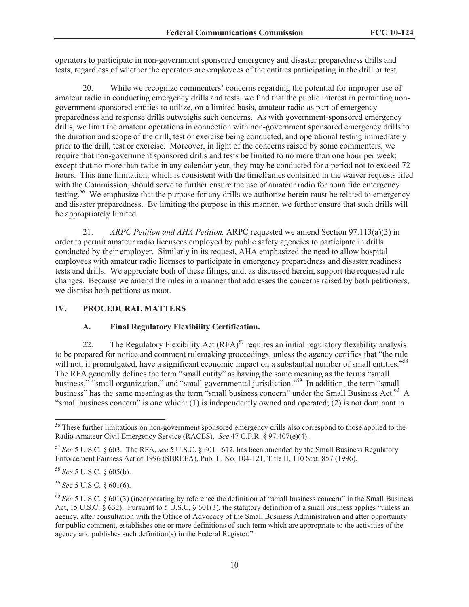operators to participate in non-government sponsored emergency and disaster preparedness drills and tests, regardless of whether the operators are employees of the entities participating in the drill or test.

20. While we recognize commenters' concerns regarding the potential for improper use of amateur radio in conducting emergency drills and tests, we find that the public interest in permitting nongovernment-sponsored entities to utilize, on a limited basis, amateur radio as part of emergency preparedness and response drills outweighs such concerns. As with government-sponsored emergency drills, we limit the amateur operations in connection with non-government sponsored emergency drills to the duration and scope of the drill, test or exercise being conducted, and operational testing immediately prior to the drill, test or exercise. Moreover, in light of the concerns raised by some commenters, we require that non-government sponsored drills and tests be limited to no more than one hour per week; except that no more than twice in any calendar year, they may be conducted for a period not to exceed 72 hours. This time limitation, which is consistent with the timeframes contained in the waiver requests filed with the Commission, should serve to further ensure the use of amateur radio for bona fide emergency testing.<sup>56</sup> We emphasize that the purpose for any drills we authorize herein must be related to emergency and disaster preparedness. By limiting the purpose in this manner, we further ensure that such drills will be appropriately limited.

21. *ARPC Petition and AHA Petition.* ARPC requested we amend Section 97.113(a)(3) in order to permit amateur radio licensees employed by public safety agencies to participate in drills conducted by their employer. Similarly in its request, AHA emphasized the need to allow hospital employees with amateur radio licenses to participate in emergency preparedness and disaster readiness tests and drills. We appreciate both of these filings, and, as discussed herein, support the requested rule changes. Because we amend the rules in a manner that addresses the concerns raised by both petitioners, we dismiss both petitions as moot.

## **IV. PROCEDURAL MATTERS**

## **A. Final Regulatory Flexibility Certification.**

22. The Regulatory Flexibility Act  $(RFA)^{57}$  requires an initial regulatory flexibility analysis to be prepared for notice and comment rulemaking proceedings, unless the agency certifies that "the rule will not, if promulgated, have a significant economic impact on a substantial number of small entities."<sup>58</sup> The RFA generally defines the term "small entity" as having the same meaning as the terms "small business," "small organization," and "small governmental jurisdiction."<sup>59</sup> In addition, the term "small business" has the same meaning as the term "small business concern" under the Small Business Act.<sup>60</sup> A "small business concern" is one which: (1) is independently owned and operated; (2) is not dominant in

<sup>&</sup>lt;sup>56</sup> These further limitations on non-government sponsored emergency drills also correspond to those applied to the Radio Amateur Civil Emergency Service (RACES). *See* 47 C.F.R. § 97.407(e)(4).

<sup>57</sup> *See* 5 U.S.C. § 603. The RFA, *see* 5 U.S.C. § 601– 612, has been amended by the Small Business Regulatory Enforcement Fairness Act of 1996 (SBREFA), Pub. L. No. 104-121, Title II, 110 Stat. 857 (1996).

<sup>58</sup> *See* 5 U.S.C. § 605(b).

<sup>59</sup> *See* 5 U.S.C. § 601(6).

<sup>60</sup> *See* 5 U.S.C. § 601(3) (incorporating by reference the definition of "small business concern" in the Small Business Act, 15 U.S.C.  $\S 632$ ). Pursuant to 5 U.S.C.  $\S 601(3)$ , the statutory definition of a small business applies "unless an agency, after consultation with the Office of Advocacy of the Small Business Administration and after opportunity for public comment, establishes one or more definitions of such term which are appropriate to the activities of the agency and publishes such definition(s) in the Federal Register."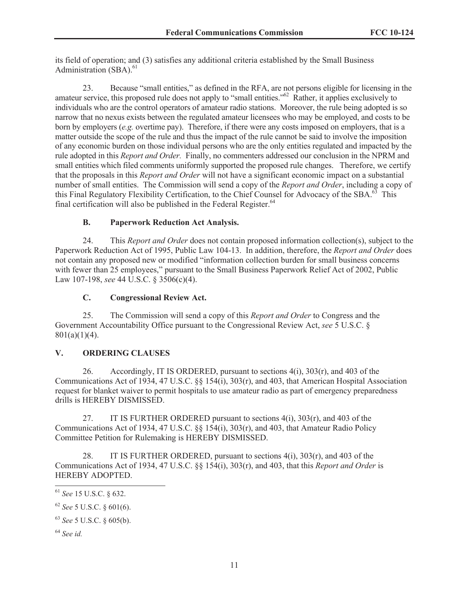its field of operation; and (3) satisfies any additional criteria established by the Small Business Administration  $(SBA)$ <sup>61</sup>

23. Because "small entities," as defined in the RFA, are not persons eligible for licensing in the amateur service, this proposed rule does not apply to "small entities."<sup>62</sup> Rather, it applies exclusively to individuals who are the control operators of amateur radio stations. Moreover, the rule being adopted is so narrow that no nexus exists between the regulated amateur licensees who may be employed, and costs to be born by employers (*e.g.* overtime pay). Therefore, if there were any costs imposed on employers, that is a matter outside the scope of the rule and thus the impact of the rule cannot be said to involve the imposition of any economic burden on those individual persons who are the only entities regulated and impacted by the rule adopted in this *Report and Order.* Finally, no commenters addressed our conclusion in the NPRM and small entities which filed comments uniformly supported the proposed rule changes. Therefore, we certify that the proposals in this *Report and Order* will not have a significant economic impact on a substantial number of small entities. The Commission will send a copy of the *Report and Order*, including a copy of this Final Regulatory Flexibility Certification, to the Chief Counsel for Advocacy of the SBA.<sup>63</sup> This final certification will also be published in the Federal Register. $64$ 

# **B. Paperwork Reduction Act Analysis.**

24. This *Report and Order* does not contain proposed information collection(s), subject to the Paperwork Reduction Act of 1995, Public Law 104-13. In addition, therefore, the *Report and Order* does not contain any proposed new or modified "information collection burden for small business concerns with fewer than 25 employees," pursuant to the Small Business Paperwork Relief Act of 2002, Public Law 107-198, *see* 44 U.S.C. § 3506(c)(4).

## **C. Congressional Review Act.**

25. The Commission will send a copy of this *Report and Order* to Congress and the Government Accountability Office pursuant to the Congressional Review Act, *see* 5 U.S.C. §  $801(a)(1)(4)$ .

## **V. ORDERING CLAUSES**

26. Accordingly, IT IS ORDERED, pursuant to sections 4(i), 303(r), and 403 of the Communications Act of 1934, 47 U.S.C. §§ 154(i), 303(r), and 403, that American Hospital Association request for blanket waiver to permit hospitals to use amateur radio as part of emergency preparedness drills is HEREBY DISMISSED.

27. IT IS FURTHER ORDERED pursuant to sections  $4(i)$ ,  $303(r)$ , and  $403$  of the Communications Act of 1934, 47 U.S.C. §§ 154(i), 303(r), and 403, that Amateur Radio Policy Committee Petition for Rulemaking is HEREBY DISMISSED.

28. IT IS FURTHER ORDERED, pursuant to sections  $4(i)$ ,  $303(r)$ , and  $403$  of the Communications Act of 1934, 47 U.S.C. §§ 154(i), 303(r), and 403, that this *Report and Order* is HEREBY ADOPTED.

<sup>61</sup> *See* 15 U.S.C. § 632.

<sup>62</sup> *See* 5 U.S.C. § 601(6).

<sup>63</sup> *See* 5 U.S.C. § 605(b).

<sup>64</sup> *See id.*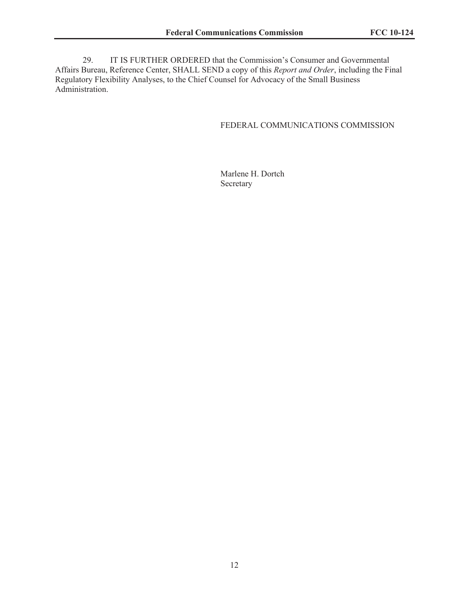29. IT IS FURTHER ORDERED that the Commission's Consumer and Governmental Affairs Bureau, Reference Center, SHALL SEND a copy of this *Report and Order*, including the Final Regulatory Flexibility Analyses, to the Chief Counsel for Advocacy of the Small Business Administration.

#### FEDERAL COMMUNICATIONS COMMISSION

Marlene H. Dortch Secretary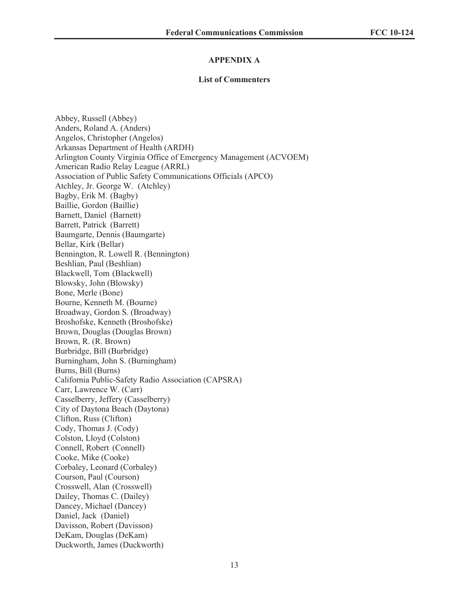#### **APPENDIX A**

#### **List of Commenters**

Abbey, Russell (Abbey) Anders, Roland A. (Anders) Angelos, Christopher (Angelos) Arkansas Department of Health (ARDH) Arlington County Virginia Office of Emergency Management (ACVOEM) American Radio Relay League (ARRL) Association of Public Safety Communications Officials (APCO) Atchley, Jr. George W. (Atchley) Bagby, Erik M. (Bagby) Baillie, Gordon (Baillie) Barnett, Daniel (Barnett) Barrett, Patrick (Barrett) Baumgarte, Dennis (Baumgarte) Bellar, Kirk (Bellar) Bennington, R. Lowell R. (Bennington) Beshlian, Paul (Beshlian) Blackwell, Tom (Blackwell) Blowsky, John (Blowsky) Bone, Merle (Bone) Bourne, Kenneth M. (Bourne) Broadway, Gordon S. (Broadway) Broshofske, Kenneth (Broshofske) Brown, Douglas (Douglas Brown) Brown, R. (R. Brown) Burbridge, Bill (Burbridge) Burningham, John S. (Burningham) Burns, Bill (Burns) California Public-Safety Radio Association (CAPSRA) Carr, Lawrence W. (Carr) Casselberry, Jeffery (Casselberry) City of Daytona Beach (Daytona) Clifton, Russ (Clifton) Cody, Thomas J. (Cody) Colston, Lloyd (Colston) Connell, Robert (Connell) Cooke, Mike (Cooke) Corbaley, Leonard (Corbaley) Courson, Paul (Courson) Crosswell, Alan (Crosswell) Dailey, Thomas C. (Dailey) Dancey, Michael (Dancey) Daniel, Jack (Daniel) Davisson, Robert (Davisson) DeKam, Douglas (DeKam) Duckworth, James (Duckworth)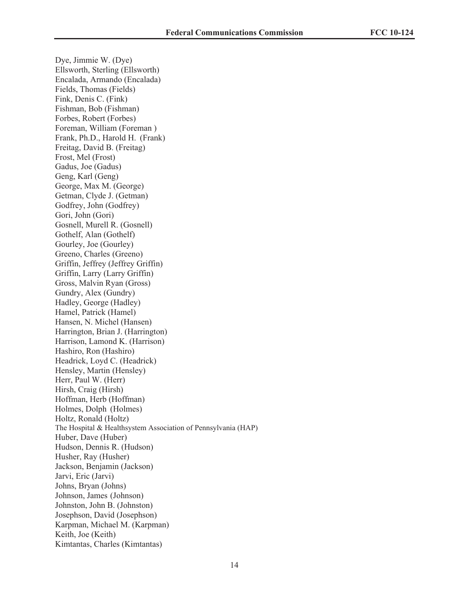Dye, Jimmie W. (Dye) Ellsworth, Sterling (Ellsworth) Encalada, Armando (Encalada) Fields, Thomas (Fields) Fink, Denis C. (Fink) Fishman, Bob (Fishman) Forbes, Robert (Forbes) Foreman, William (Foreman ) Frank, Ph.D., Harold H. (Frank) Freitag, David B. (Freitag) Frost, Mel (Frost) Gadus, Joe (Gadus) Geng, Karl (Geng) George, Max M. (George) Getman, Clyde J. (Getman) Godfrey, John (Godfrey) Gori, John (Gori) Gosnell, Murell R. (Gosnell) Gothelf, Alan (Gothelf) Gourley, Joe (Gourley) Greeno, Charles (Greeno) Griffin, Jeffrey (Jeffrey Griffin) Griffin, Larry (Larry Griffin) Gross, Malvin Ryan (Gross) Gundry, Alex (Gundry) Hadley, George (Hadley) Hamel, Patrick (Hamel) Hansen, N. Michel (Hansen) Harrington, Brian J. (Harrington) Harrison, Lamond K. (Harrison) Hashiro, Ron (Hashiro) Headrick, Loyd C. (Headrick) Hensley, Martin (Hensley) Herr, Paul W. (Herr) Hirsh, Craig (Hirsh) Hoffman, Herb (Hoffman) Holmes, Dolph (Holmes) Holtz, Ronald (Holtz) The Hospital & Healthsystem Association of Pennsylvania (HAP) Huber, Dave (Huber) Hudson, Dennis R. (Hudson) Husher, Ray (Husher) Jackson, Benjamin (Jackson) Jarvi, Eric (Jarvi) Johns, Bryan (Johns) Johnson, James (Johnson) Johnston, John B. (Johnston) Josephson, David (Josephson) Karpman, Michael M. (Karpman) Keith, Joe (Keith) Kimtantas, Charles (Kimtantas)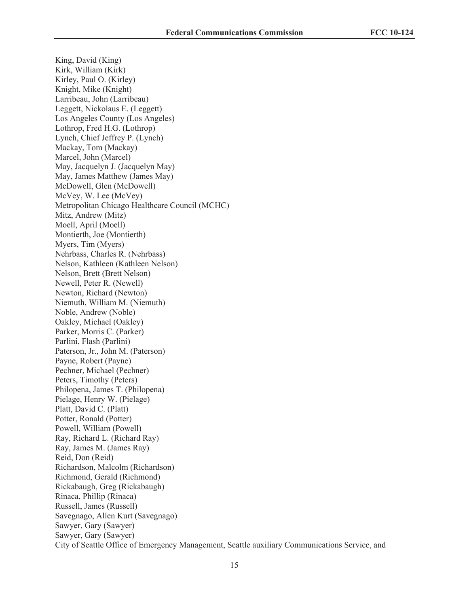King, David (King) Kirk, William (Kirk) Kirley, Paul O. (Kirley) Knight, Mike (Knight) Larribeau, John (Larribeau) Leggett, Nickolaus E. (Leggett) Los Angeles County (Los Angeles) Lothrop, Fred H.G. (Lothrop) Lynch, Chief Jeffrey P. (Lynch) Mackay, Tom (Mackay) Marcel, John (Marcel) May, Jacquelyn J. (Jacquelyn May) May, James Matthew (James May) McDowell, Glen (McDowell) McVey, W. Lee (McVey) Metropolitan Chicago Healthcare Council (MCHC) Mitz, Andrew (Mitz) Moell, April (Moell) Montierth, Joe (Montierth) Myers, Tim (Myers) Nehrbass, Charles R. (Nehrbass) Nelson, Kathleen (Kathleen Nelson) Nelson, Brett (Brett Nelson) Newell, Peter R. (Newell) Newton, Richard (Newton) Niemuth, William M. (Niemuth) Noble, Andrew (Noble) Oakley, Michael (Oakley) Parker, Morris C. (Parker) Parlini, Flash (Parlini) Paterson, Jr., John M. (Paterson) Payne, Robert (Payne) Pechner, Michael (Pechner) Peters, Timothy (Peters) Philopena, James T. (Philopena) Pielage, Henry W. (Pielage) Platt, David C. (Platt) Potter, Ronald (Potter) Powell, William (Powell) Ray, Richard L. (Richard Ray) Ray, James M. (James Ray) Reid, Don (Reid) Richardson, Malcolm (Richardson) Richmond, Gerald (Richmond) Rickabaugh, Greg (Rickabaugh) Rinaca, Phillip (Rinaca) Russell, James (Russell) Savegnago, Allen Kurt (Savegnago) Sawyer, Gary (Sawyer) Sawyer, Gary (Sawyer) City of Seattle Office of Emergency Management, Seattle auxiliary Communications Service, and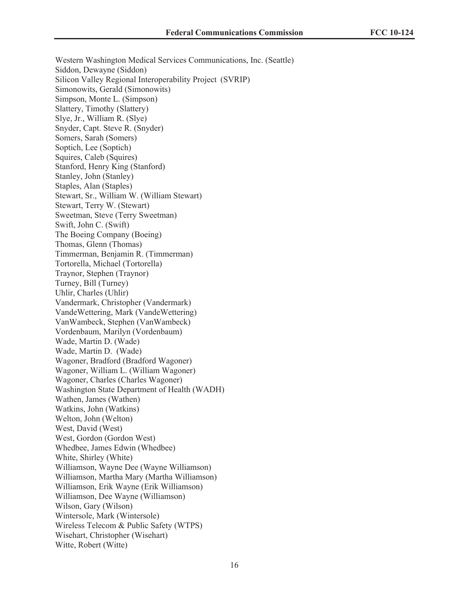Western Washington Medical Services Communications, Inc. (Seattle) Siddon, Dewayne (Siddon) Silicon Valley Regional Interoperability Project (SVRIP) Simonowits, Gerald (Simonowits) Simpson, Monte L. (Simpson) Slattery, Timothy (Slattery) Slye, Jr., William R. (Slye) Snyder, Capt. Steve R. (Snyder) Somers, Sarah (Somers) Soptich, Lee (Soptich) Squires, Caleb (Squires) Stanford, Henry King (Stanford) Stanley, John (Stanley) Staples, Alan (Staples) Stewart, Sr., William W. (William Stewart) Stewart, Terry W. (Stewart) Sweetman, Steve (Terry Sweetman) Swift, John C. (Swift) The Boeing Company (Boeing) Thomas, Glenn (Thomas) Timmerman, Benjamin R. (Timmerman) Tortorella, Michael (Tortorella) Traynor, Stephen (Traynor) Turney, Bill (Turney) Uhlir, Charles (Uhlir) Vandermark, Christopher (Vandermark) VandeWettering, Mark (VandeWettering) VanWambeck, Stephen (VanWambeck) Vordenbaum, Marilyn (Vordenbaum) Wade, Martin D. (Wade) Wade, Martin D. (Wade) Wagoner, Bradford (Bradford Wagoner) Wagoner, William L. (William Wagoner) Wagoner, Charles (Charles Wagoner) Washington State Department of Health (WADH) Wathen, James (Wathen) Watkins, John (Watkins) Welton, John (Welton) West, David (West) West, Gordon (Gordon West) Whedbee, James Edwin (Whedbee) White, Shirley (White) Williamson, Wayne Dee (Wayne Williamson) Williamson, Martha Mary (Martha Williamson) Williamson, Erik Wayne (Erik Williamson) Williamson, Dee Wayne (Williamson) Wilson, Gary (Wilson) Wintersole, Mark (Wintersole) Wireless Telecom & Public Safety (WTPS) Wisehart, Christopher (Wisehart) Witte, Robert (Witte)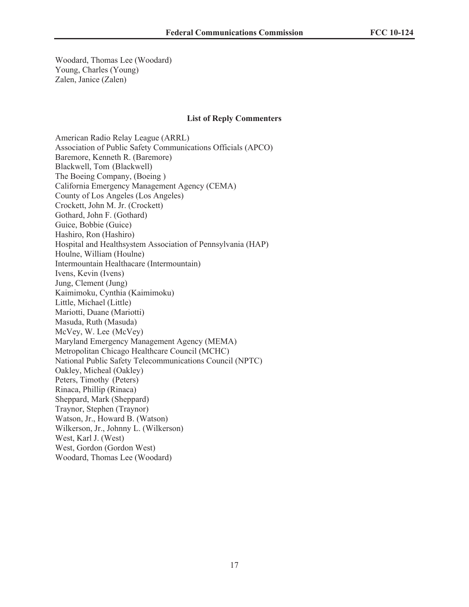Woodard, Thomas Lee (Woodard) Young, Charles (Young) Zalen, Janice (Zalen)

#### **List of Reply Commenters**

American Radio Relay League (ARRL) Association of Public Safety Communications Officials (APCO) Baremore, Kenneth R. (Baremore) Blackwell, Tom (Blackwell) The Boeing Company, (Boeing ) California Emergency Management Agency (CEMA) County of Los Angeles (Los Angeles) Crockett, John M. Jr. (Crockett) Gothard, John F. (Gothard) Guice, Bobbie (Guice) Hashiro, Ron (Hashiro) Hospital and Healthsystem Association of Pennsylvania (HAP) Houlne, William (Houlne) Intermountain Healthacare (Intermountain) Ivens, Kevin (Ivens) Jung, Clement (Jung) Kaimimoku, Cynthia (Kaimimoku) Little, Michael (Little) Mariotti, Duane (Mariotti) Masuda, Ruth (Masuda) McVey, W. Lee (McVey) Maryland Emergency Management Agency (MEMA) Metropolitan Chicago Healthcare Council (MCHC) National Public Safety Telecommunications Council (NPTC) Oakley, Micheal (Oakley) Peters, Timothy (Peters) Rinaca, Phillip (Rinaca) Sheppard, Mark (Sheppard) Traynor, Stephen (Traynor) Watson, Jr., Howard B. (Watson) Wilkerson, Jr., Johnny L. (Wilkerson) West, Karl J. (West) West, Gordon (Gordon West) Woodard, Thomas Lee (Woodard)